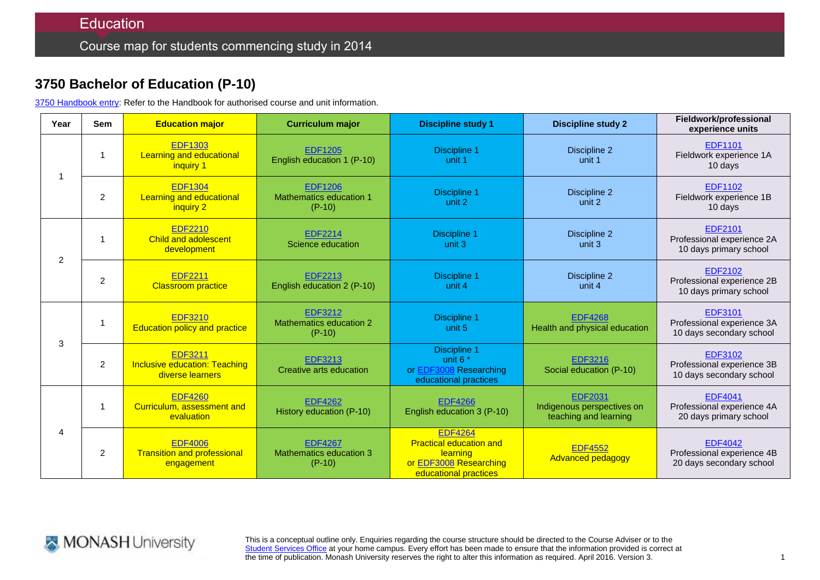## **3750 Bachelor of Education (P-10)**

3750 [Handbook entry:](http://www.monash.edu.au/pubs/2014handbooks/courses/3750.html) Refer to the Handbook for authorised course and unit information.

| Year | <b>Sem</b>     | <b>Education major</b>                                                     | <b>Curriculum major</b>                               | <b>Discipline study 1</b>                                                                                                     | <b>Discipline study 2</b>                                             | Fieldwork/professional<br>experience units                               |
|------|----------------|----------------------------------------------------------------------------|-------------------------------------------------------|-------------------------------------------------------------------------------------------------------------------------------|-----------------------------------------------------------------------|--------------------------------------------------------------------------|
|      | 1              | <b>EDF1303</b><br><b>Learning and educational</b><br>inquiry 1             | <b>EDF1205</b><br>English education 1 (P-10)          | <b>Discipline 1</b><br>unit 1                                                                                                 | Discipline 2<br>unit 1                                                | <b>EDF1101</b><br>Fieldwork experience 1A<br>10 days                     |
|      | $\overline{2}$ | <b>EDF1304</b><br><b>Learning and educational</b><br>inquiry 2             | <b>EDF1206</b><br>Mathematics education 1<br>$(P-10)$ | <b>Discipline 1</b><br>unit 2                                                                                                 | Discipline 2<br>unit 2                                                | EDF1102<br>Fieldwork experience 1B<br>10 days                            |
| 2    | 1              | <b>EDF2210</b><br><b>Child and adolescent</b><br>development               | <b>EDF2214</b><br>Science education                   | Discipline 1<br>unit 3                                                                                                        | Discipline 2<br>unit 3                                                | EDF2101<br>Professional experience 2A<br>10 days primary school          |
|      | $\overline{2}$ | <b>EDF2211</b><br><b>Classroom practice</b>                                | EDF2213<br>English education 2 (P-10)                 | <b>Discipline 1</b><br>unit 4                                                                                                 | Discipline 2<br>unit 4                                                | <b>EDF2102</b><br>Professional experience 2B<br>10 days primary school   |
| 3    | 1              | <b>EDF3210</b><br><b>Education policy and practice</b>                     | <b>EDF3212</b><br>Mathematics education 2<br>$(P-10)$ | Discipline 1<br>unit 5                                                                                                        | <b>EDF4268</b><br>Health and physical education                       | <b>EDF3101</b><br>Professional experience 3A<br>10 days secondary school |
|      | $\overline{2}$ | <b>EDF3211</b><br><b>Inclusive education: Teaching</b><br>diverse learners | <b>EDF3213</b><br>Creative arts education             | <b>Discipline 1</b><br>unit $6*$<br>or EDF3008 Researching<br>educational practices                                           | <b>EDF3216</b><br>Social education (P-10)                             | EDF3102<br>Professional experience 3B<br>10 days secondary school        |
| 4    | 1              | <b>EDF4260</b><br>Curriculum, assessment and<br>evaluation                 | <b>EDF4262</b><br>History education (P-10)            | <b>EDF4266</b><br>English education 3 (P-10)                                                                                  | <b>EDF2031</b><br>Indigenous perspectives on<br>teaching and learning | <b>EDF4041</b><br>Professional experience 4A<br>20 days primary school   |
|      | $\overline{2}$ | <b>EDF4006</b><br><b>Transition and professional</b><br>engagement         | <b>EDF4267</b><br>Mathematics education 3<br>$(P-10)$ | <b>EDF4264</b><br><b>Practical education and</b><br><b>learning</b><br>or <b>EDF3008</b> Researching<br>educational practices | <b>EDF4552</b><br><b>Advanced pedagogy</b>                            | <b>EDF4042</b><br>Professional experience 4B<br>20 days secondary school |



This is a conceptual outline only. Enquiries regarding the course structure should be directed to the Course Adviser or to the [Student Services Office](http://www.monash.edu/education/about/contact) at your home campus. Every effort has been made to ensure that the information provided is correct at the time of publication. Monash University reserves the right to alter this information as required. April 2016. Version 3.